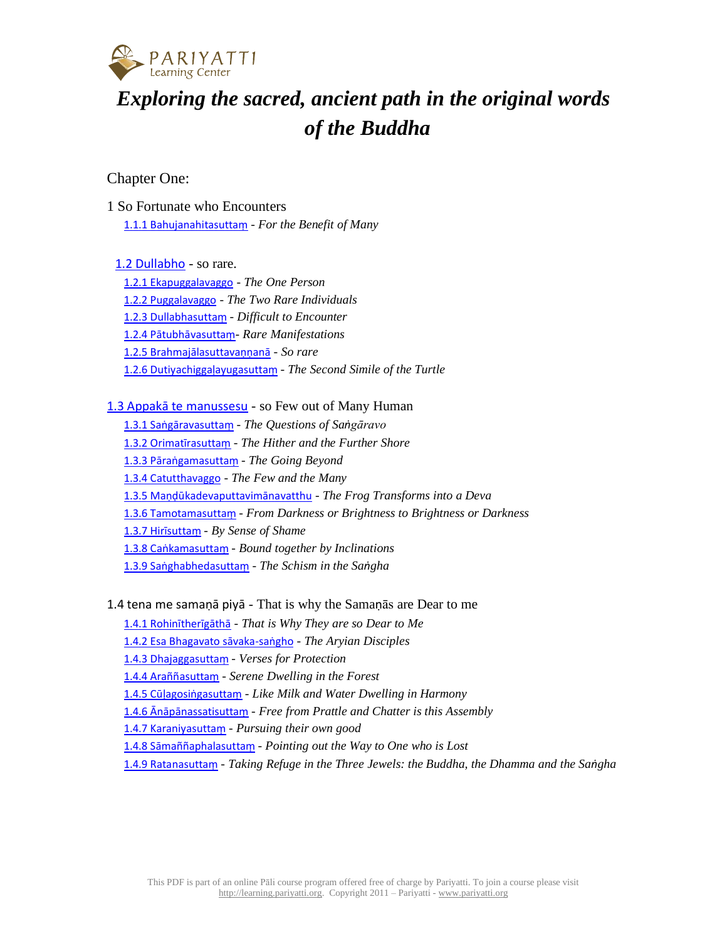

# *Exploring the sacred, ancient path in the original words of the Buddha*

# Chapter One:

1 So Fortunate who Encounters 1.1.1 [Bahujanahitasutta](https://learning.pariyatti.org/course/view.php?id=2#section-1)ṃ - *For the Benefit of Many*

1.2 [Dullabho](https://learning.pariyatti.org/course/view.php?id=2#section-2) - so rare.

1.2.1 [Ekapuggalavaggo](https://learning.pariyatti.org/course/view.php?id=2#section-3) - *The One Person* 1.2.2 [Puggalavaggo](https://learning.pariyatti.org/course/view.php?id=2#section-4) - *The Two Rare Individuals* 1.2.3 [Dullabhasutta](https://learning.pariyatti.org/course/view.php?id=2#section-5)ṃ - *Difficult to Encounter* 1.2.4 Pātubh[āvasuttaṃ](https://learning.pariyatti.org/course/view.php?id=2#section-6)- *Rare Manifestations* 1.2.5 [Brahmajālasuttavaṇṇanā](https://learning.pariyatti.org/course/view.php?id=2#section-7) - *So rare* 1.2.6 [Dutiyachigga](https://learning.pariyatti.org/course/view.php?id=2#section-8)ḷayugasuttaṃ - *The Second Simile of the Turtle*

1.3 Appakā te [manussesu](https://learning.pariyatti.org/course/view.php?id=2#section-9) - so Few out of Many Human

1.3.1 Sa[ṅgāravasuttaṃ](https://learning.pariyatti.org/course/view.php?id=2#section-10) - *The Questions of Saṅgāravo* 1.3.2 Ori[matīrasuttaṃ](https://learning.pariyatti.org/course/view.php?id=2#section-11) - *The Hither and the Further Shore* 1.3.3 Pāraṅ[gamasutta](https://learning.pariyatti.org/course/view.php?id=2#section-12)ṃ - *The Going Beyond* 1.3.4 [Catutthavaggo](https://learning.pariyatti.org/course/view.php?id=2#section-13) - *The Few and the Many* 1.3.5 Maṇḍū[kadevaputtavim](https://learning.pariyatti.org/course/view.php?id=2#section-14)ānavatthu - *The Frog Transforms into a Deva* 1.3.6 [Tamotamasutta](https://learning.pariyatti.org/course/view.php?id=2#section-15)ṃ - *From Darkness or Brightness to Brightness or Darkness* 1.3.7 [Hirīsuttaṃ](https://learning.pariyatti.org/course/view.php?id=2#section-16) - *By Sense of Shame* 1.3.8 Caṅ[kamasutta](https://learning.pariyatti.org/course/view.php?id=2#section-17)ṃ - *Bound together by Inclinations* 1.3.9 Saṅ[ghabhedasutta](https://learning.pariyatti.org/course/view.php?id=2#section-18)ṃ - *The Schism in the Saṅgha*

1.4 tena me samaṇā piyā - That is why the Samaṇās are Dear to me

1.4.1 [Rohinītherīgāthā](https://learning.pariyatti.org/course/view.php?id=2#section-19) - *That is Why They are so Dear to Me*

1.4.2 Esa [Bhagavato](https://learning.pariyatti.org/course/view.php?id=2#section-20) sāvaka-saṅgho - *The Aryian Disciples*

1.4.3 [Dhajaggasutta](https://learning.pariyatti.org/course/view.php?id=2#section-21)ṃ - *Verses for Protection*

1.4.4 [Araññasutta](https://learning.pariyatti.org/course/view.php?id=2#section-22)ṃ - *Serene Dwelling in the Forest*

1.4.5 Cūḷagosiṅ[gasutta](https://learning.pariyatti.org/course/view.php?id=2#section-23)ṃ - *Like Milk and Water Dwelling in Harmony*

1.4.6 [Ānāpānassatisuttaṃ](https://learning.pariyatti.org/course/view.php?id=2#section-24) - *Free from Prattle and Chatter is this Assembly*

1.4.7 [Karaniyasutta](https://learning.pariyatti.org/course/view.php?id=2#section-25)ṃ - *Pursuing their own good*

1.4.8 Sāma[ññaphalasutta](https://learning.pariyatti.org/course/view.php?id=2#section-26)ṃ - *Pointing out the Way to One who is Lost*

1.4.9 [Ratanasutta](https://learning.pariyatti.org/course/view.php?id=2#section-27)ṃ - *Taking Refuge in the Three Jewels: the Buddha, the Dhamma and the Saṅgha*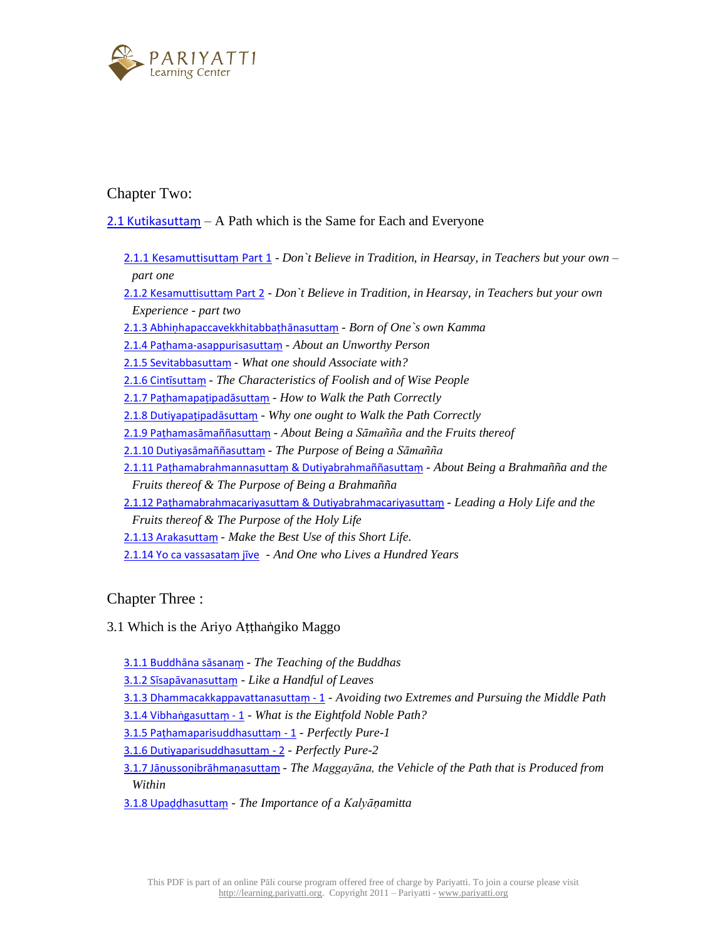

Chapter Two:

2.1 [Kutikasutta](https://learning.pariyatti.org/course/view.php?id=2#section-28)m  $- A$  Path which is the Same for Each and Everyone

2.1.1 [Kesamuttisutta](https://learning.pariyatti.org/course/view.php?id=2#section-29)ṃ Part 1 - *Don`t Believe in Tradition, in Hearsay, in Teachers but your own* – *part one*

2.1.2 [Kesamuttisutta](https://learning.pariyatti.org/course/view.php?id=2#section-30)ṃ Part 2 - *Don`t Believe in Tradition, in Hearsay, in Teachers but your own Experience - part two*

2.1.3 Abhiṇ[hapaccavekkhitabba](https://learning.pariyatti.org/course/view.php?id=2#section-31)ṭhānasuttaṃ - *Born of One`s own Kamma*

2.1.4 Paṭ[hama-asappurisasutta](https://learning.pariyatti.org/course/view.php?id=2#section-32)ṃ - *About an Unworthy Person*

2.1.5 [Sevitabbasutta](https://learning.pariyatti.org/course/view.php?id=2#section-33)ṃ - *What one should Associate with?*

2.1.6 Cint[īsuttaṃ](https://learning.pariyatti.org/course/view.php?id=2#section-34) - *The Characteristics of Foolish and of Wise People*

2.1.7 Paṭhamapa[ṭipadāsuttaṃ](https://learning.pariyatti.org/course/view.php?id=2#section-35) - *How to Walk the Path Correctly*

2.1.8 Dutiyapa[ṭipadāsuttaṃ](https://learning.pariyatti.org/course/view.php?id=2#section-36) - *Why one ought to Walk the Path Correctly*

2.1.9 Paṭhamasāma[ññasutta](https://learning.pariyatti.org/course/view.php?id=2#section-37)ṃ - *About Being a Sāmañña and the Fruits thereof*

2.1.10 [Dutiyasāma](https://learning.pariyatti.org/course/view.php?id=2#section-38)ññasuttaṃ - *The Purpose of Being a Sāmañña*

2.1.11 Paṭhamabrahmannasuttaṃ & [Dutiyabrahmaññasutta](https://learning.pariyatti.org/course/view.php?id=2#section-39)ṃ - *About Being a Brahmañña and the Fruits thereof & The Purpose of Being a Brahmañña*

2.1.12 Paṭhamabrahmacariyasuttaṃ & [Dutiyabrahmacariyasutta](https://learning.pariyatti.org/course/view.php?id=2#section-40)ṃ - *Leading a Holy Life and the*

*Fruits thereof & The Purpose of the Holy Life*

- 2.1.13 [Arakasutta](https://learning.pariyatti.org/course/view.php?id=2#section-41)ṃ *Make the Best Use of this Short Life*.
- 2.1.14 Yo ca [vassasata](https://learning.pariyatti.org/course/view.php?id=2#section-42)ṃ jīve *And One who Lives a Hundred Years*

Chapter Three :

3.1 Which is the Ariyo Aṭṭhaṅgiko Maggo

3.1.1 [Buddhāna](https://learning.pariyatti.org/course/view.php?id=2#section-43) sāsanaṃ - *The Teaching of the Buddhas*

3.1.2 Sīsap[āvanasuttaṃ](https://learning.pariyatti.org/course/view.php?id=2#section-44) - *Like a Handful of Leaves*

3.1.3 [Dhammacakkappavattanasutta](https://learning.pariyatti.org/course/view.php?id=2#section-45)ṃ - 1 - *Avoiding two Extremes and Pursuing the Middle Path*

3.1.4 Vibhaṅ[gasutta](https://learning.pariyatti.org/course/view.php?id=2#section-46)ṃ - 1 - *What is the Eightfold Noble Path?*

3.1.5 Paṭ[hamaparisuddhasutta](https://learning.pariyatti.org/course/view.php?id=2#section-47)ṃ - 1 - *Perfectly Pure-1*

3.1.6 [Dutiyaparisuddhasutta](https://learning.pariyatti.org/course/view.php?id=2#section-48)ṃ - 2 - *Perfectly Pure-2*

3.1.7 Jāṇussoṇibrāhmaṇ[asutta](https://learning.pariyatti.org/course/view.php?id=2#section-49)ṃ - *The Maggayāna, the Vehicle of the Path that is Produced from Within*

3.1.8 Upaḍḍ[hasutta](https://learning.pariyatti.org/course/view.php?id=2#section-50)ṃ - *The Importance of a Kalyāṇamitta*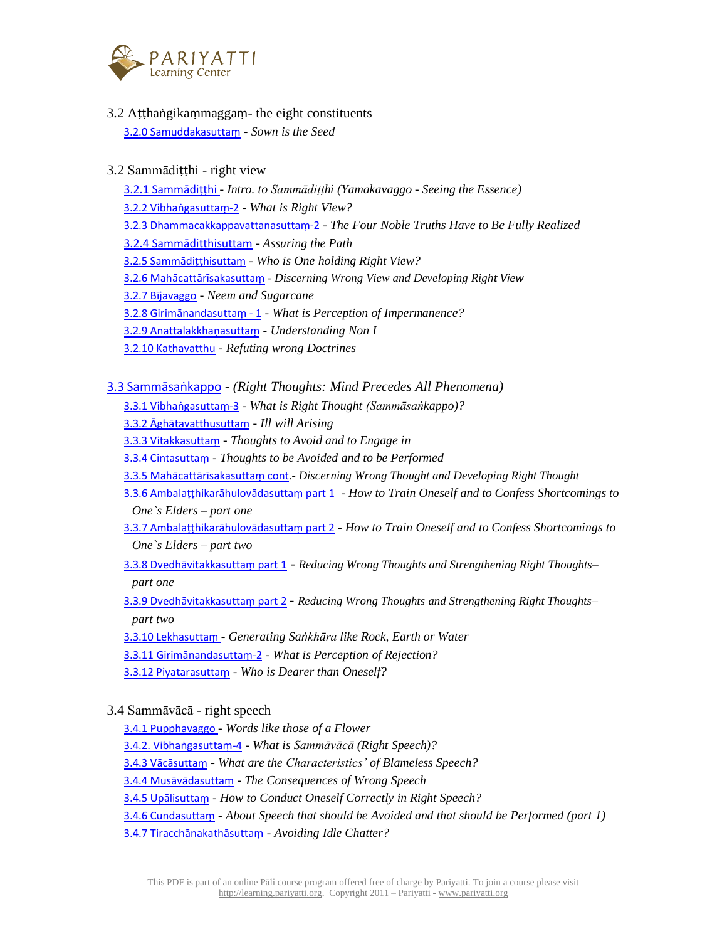

3.2 Aṭṭhaṅgikaṃmaggaṃ- the eight constituents

3.2.0 [Samuddakasutta](https://learning.pariyatti.org/course/view.php?id=2#section-53)ṃ - *Sown is the Seed*

## 3.2 Sammādiṭṭhi - right view

- 3.2.1 [Sammādiṭṭ](https://learning.pariyatti.org/course/view.php?id=2#section-54)hi *Intro. to Sammādiṭṭhi (Yamakavaggo Seeing the Essence)*
- 3.2.2 Vibhaṅ[gasutta](https://learning.pariyatti.org/course/view.php?id=2#section-55)ṃ-2 *What is Right View?*
- 3.2.3 [Dhammacakkappavattanasutta](https://learning.pariyatti.org/course/view.php?id=2#section-56)ṃ-2 *The Four Noble Truths Have to Be Fully Realized*
- 3.2.4 [Sammādiṭṭ](https://learning.pariyatti.org/course/view.php?id=2#section-57)hisuttaṃ *Assuring the Path*
- 3.2.5 [Sammādiṭṭ](https://learning.pariyatti.org/course/view.php?id=2#section-58)hisuttaṃ *Who is One holding Right View?*
- 3.2.6 Mahācatt[ārīsakasuttaṃ](https://learning.pariyatti.org/course/view.php?id=2#section-59) *Discerning Wrong View and Developing Right View*
- 3.2.7 [Bījavaggo](https://learning.pariyatti.org/course/view.php?id=2#section-60) *Neem and Sugarcane*
- 3.2.8 [Girimānandasuttaṃ](https://learning.pariyatti.org/course/view.php?id=2#section-61) 1 *What is Perception of Impermanence?*
- 3.2.9 [Anattalakkha](https://learning.pariyatti.org/course/view.php?id=2#section-62)ṇasuttaṃ *Understanding Non I*
- 3.2.10 [Kathavatthu](https://learning.pariyatti.org/course/view.php?id=2#section-63) *Refuting wrong Doctrines*

# 3.3 [Sammāsaṅ](https://learning.pariyatti.org/course/view.php?id=2#section-64)kappo - *(Right Thoughts: Mind Precedes All Phenomena)*

- 3.3.1 Vibhaṅ[gasutta](https://learning.pariyatti.org/course/view.php?id=2#section-65)ṃ-3 *What is Right Thought (Sammāsaṅkappo)?*
- 3.3.2 [Āghātavatthusuttaṃ](https://learning.pariyatti.org/course/view.php?id=2#section-66) *Ill will Arising*
- 3.3.3 [Vitakkasutta](https://learning.pariyatti.org/course/view.php?id=2#section-67)ṃ *Thoughts to Avoid and to Engage in*
- 3.3.4 [Cintasutta](https://learning.pariyatti.org/course/view.php?id=2#section-68)ṃ *Thoughts to be Avoided and to be Performed*
- 3.3.5 Mahācatt[ārīsakasuttaṃ](https://learning.pariyatti.org/course/view.php?id=2#section-69) cont.- *Discerning Wrong Thought and Developing Right Thought*
- 3.3.6 Ambala[ṭṭhikarāhulovādasuttaṃ](https://learning.pariyatti.org/course/view.php?id=2#section-70) part 1 *How to Train Oneself and to Confess Shortcomings to One`s Elders – part one*
- 3.3.7 Ambala[ṭṭhikarāhulovādasuttaṃ](https://learning.pariyatti.org/course/view.php?id=2#section-71) part 2 *How to Train Oneself and to Confess Shortcomings to One`s Elders – part two*
- 3.3.8 [Dvedhāvitakkasuttaṃ](https://learning.pariyatti.org/course/view.php?id=2#section-72) part 1 *Reducing Wrong Thoughts and Strengthening Right Thoughts– part one*
- 3.3.9 [Dvedhāvitakkasuttaṃ](https://learning.pariyatti.org/course/view.php?id=2#section-73) part 2 *Reducing Wrong Thoughts and Strengthening Right Thoughts– part two*
- 3.3.10 [Lekhasutta](https://learning.pariyatti.org/course/view.php?id=2#section-74)ṃ *Generating Saṅkhāra like Rock, Earth or Water*
- 3.3.11 [Girimānandasuttaṃ](https://learning.pariyatti.org/course/view.php?id=2#section-75)-2 *What is Perception of Rejection?*
- 3.3.12 [Piyatarasutta](https://learning.pariyatti.org/course/view.php?id=2#section-76)ṃ *Who is Dearer than Oneself?*

# 3.4 Sammāvācā - right speech

- 3.4.1 [Pupphavaggo](https://learning.pariyatti.org/course/view.php?id=2#section-77) *Words like those of a Flower*
- 3.4.2. Vibhaṅ[gasutta](https://learning.pariyatti.org/course/view.php?id=2#section-78)ṃ-4 *What is Sammāvācā (Right Speech)?*
- 3.4.3 [Vācāsuttaṃ](https://learning.pariyatti.org/course/view.php?id=2#section-79) *What are the Characteristics' of Blameless Speech?*
- 3.4.4 Mus[āvādasuttaṃ](https://learning.pariyatti.org/course/view.php?id=2#section-80) *The Consequences of Wrong Speech*
- 3.4.5 [Upālisuttaṃ](https://learning.pariyatti.org/course/view.php?id=2#section-81) *How to Conduct Oneself Correctly in Right Speech?*
- 3.4.6 [Cundasutta](https://learning.pariyatti.org/course/view.php?id=2#section-82)ṃ *About Speech that should be Avoided and that should be Performed (part 1)*
- 3.4.7 Tiracch[ānakathāsuttaṃ](https://learning.pariyatti.org/course/view.php?id=2#section-83) *Avoiding Idle Chatter?*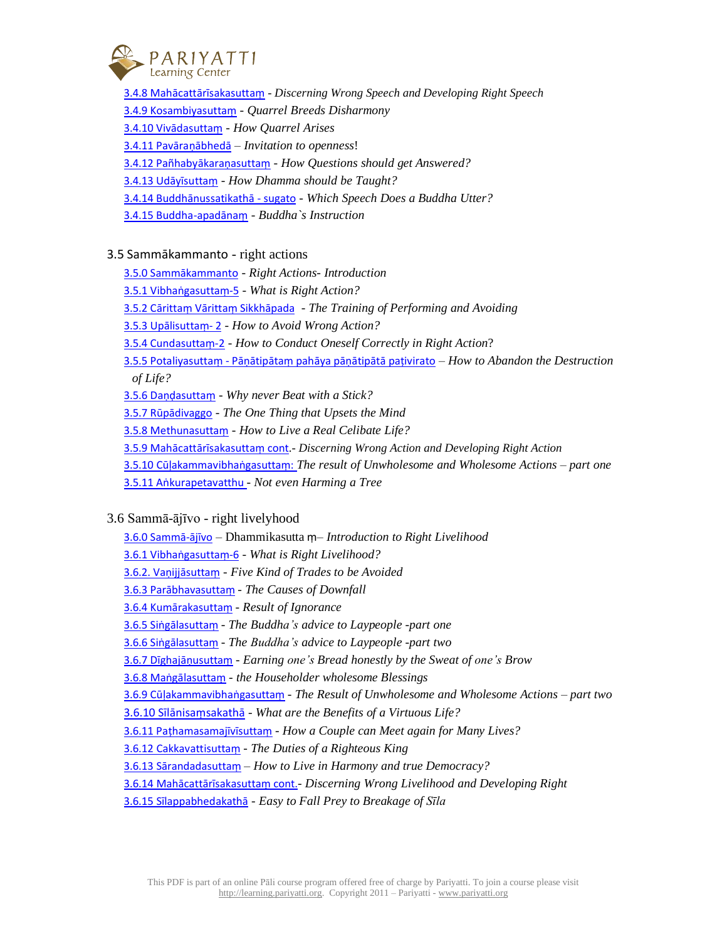

3.4.8 Mahācatt[ārīsakasuttaṃ](https://learning.pariyatti.org/course/view.php?id=2#section-84) - *Discerning Wrong Speech and Developing Right Speech* 3.4.9 [Kosambiyasutta](https://learning.pariyatti.org/course/view.php?id=2#section-85)ṃ - *Quarrel Breeds Disharmony* 3.4.10 [Vivādasuttaṃ](https://learning.pariyatti.org/course/view.php?id=2#section-86) - *How Quarrel Arises* 3.4.11 [Pavāraṇā](https://learning.pariyatti.org/course/view.php?id=2#section-87)bhedā – *Invitation to openness*! 3.4.12 Pañ[habyākaraṇ](https://learning.pariyatti.org/course/view.php?id=2#section-88)asuttaṃ - *How Questions should get Answered?* 3.4.13 [Udāyīsuttaṃ](https://learning.pariyatti.org/course/view.php?id=2#section-89) - *How Dhamma should be Taught?* 3.4.14 [Buddhānussatikathā](https://learning.pariyatti.org/course/view.php?id=2#section-90) - sugato - *Which Speech Does a Buddha Utter?* 3.4.15 [Buddha-apad](https://learning.pariyatti.org/course/view.php?id=2#section-91)ānaṃ - *Buddha`s Instruction*

## 3.5 Sammākammanto - right actions

3.5.0 [Sammākammanto](https://learning.pariyatti.org/course/view.php?id=2#section-92) - *Right Actions- Introduction*

3.5.1 Vibhaṅ[gasutta](https://learning.pariyatti.org/course/view.php?id=2#section-93)ṃ-5 - *What is Right Action?*

3.5.2 Cārittaṃ Vārittaṃ [Sikkhāpada](https://learning.pariyatti.org/course/view.php?id=2#section-94) - *The Training of Performing and Avoiding*

3.5.3 [Upālisuttaṃ](https://learning.pariyatti.org/course/view.php?id=2#section-95)- 2 - *How to Avoid Wrong Action?*

3.5.4 [Cundasutta](https://learning.pariyatti.org/course/view.php?id=2#section-96)ṃ-2 - *How to Conduct Oneself Correctly in Right Action*?

3.5.5 [Potaliyasutta](https://learning.pariyatti.org/course/view.php?id=2#section-97)ṃ - Pāṇātipātaṃ pahāya pāṇātipātā paṭivirato – *How to Abandon the Destruction of Life?*

3.5.6 Daṇḍ[asutta](https://learning.pariyatti.org/course/view.php?id=2#section-98)ṃ - *Why never Beat with a Stick?*

3.5.7 [Rūpādivaggo](https://learning.pariyatti.org/course/view.php?id=2#section-99) - *The One Thing that Upsets the Mind*

3.5.8 [Methunasutta](https://learning.pariyatti.org/course/view.php?id=2#section-100)ṃ - *How to Live a Real Celibate Life?*

3.5.9 Mahācatt[ārīsakasuttaṃ](https://learning.pariyatti.org/course/view.php?id=2#section-101) cont.- *Discerning Wrong Action and Developing Right Action*

3.5.10 Cūḷ[akammavibha](https://learning.pariyatti.org/course/view.php?id=2#section-102)ṅgasuttaṃ: *The result of Unwholesome and Wholesome Actions – part one*

3.5.11 Aṅ[kurapetavatthu](https://learning.pariyatti.org/course/view.php?id=2#section-103) - *Not even Harming a Tree*

3.6 Sammā-ājīvo - right livelyhood

3.6.0 [Sammā](https://learning.pariyatti.org/course/view.php?id=2#section-104)-ājīvo – Dhammikasutta ṃ– *Introduction to Right Livelihood*

3.6.1 Vibhaṅ[gasutta](https://learning.pariyatti.org/course/view.php?id=2#section-105)ṃ-6 - *What is Right Livelihood?*

3.6.2. Va[ṇijjāsuttaṃ](https://learning.pariyatti.org/course/view.php?id=2#section-106) *- Five Kind of Trades to be Avoided* 

3.6.3 [Parābhavasuttaṃ](https://learning.pariyatti.org/course/view.php?id=2#section-107) - *The Causes of Downfall*

3.6.4 [Kumārakasuttaṃ](https://learning.pariyatti.org/course/view.php?id=2#section-108) - *Result of Ignorance*

3.6.5 Si[ṅgālasuttaṃ](https://learning.pariyatti.org/course/view.php?id=2#section-109) - *The Buddha's advice to Laypeople -part one*

3.6.6 Si[ṅgālasuttaṃ](https://learning.pariyatti.org/course/view.php?id=2#section-110) - *The Buddha's advice to Laypeople -part two*

3.6.7 [Dīghajāṇ](https://learning.pariyatti.org/course/view.php?id=2#section-111)usuttaṃ - *Earning one's Bread honestly by the Sweat of one's Brow*

3.6.8 Ma[ṅgālasuttaṃ](https://learning.pariyatti.org/course/view.php?id=2#section-112) - *the Householder wholesome Blessings*

3.6.9 Cūḷ[akammavibha](https://learning.pariyatti.org/course/view.php?id=2#section-113)ṅgasuttaṃ - *The Result of Unwholesome and Wholesome Actions – part two*

3.6.10 Sīlānisa[ṃsakathā](https://learning.pariyatti.org/course/view.php?id=2#section-114) - *What are the Benefits of a Virtuous Life?*

3.6.11 Pa[ṭhamasamajīvīsuttaṃ](https://learning.pariyatti.org/course/view.php?id=2#section-115) - *How a Couple can Meet again for Many Lives?*

3.6.12 [Cakkavattisutta](https://learning.pariyatti.org/course/view.php?id=2#section-116)ṃ - *The Duties of a Righteous King*

3.6.13 Sā[randadasutta](https://learning.pariyatti.org/course/view.php?id=2#section-117)ṃ – *How to Live in Harmony and true Democracy?*

3.6.14 Mahācatt[ārīsakasuttaṃ](https://learning.pariyatti.org/course/view.php?id=2#section-118) cont.- *Discerning Wrong Livelihood and Developing Right*

3.6.15 [Sīlappabhedakathā](https://learning.pariyatti.org/course/view.php?id=2#section-119) - *Easy to Fall Prey to Breakage of Sīla*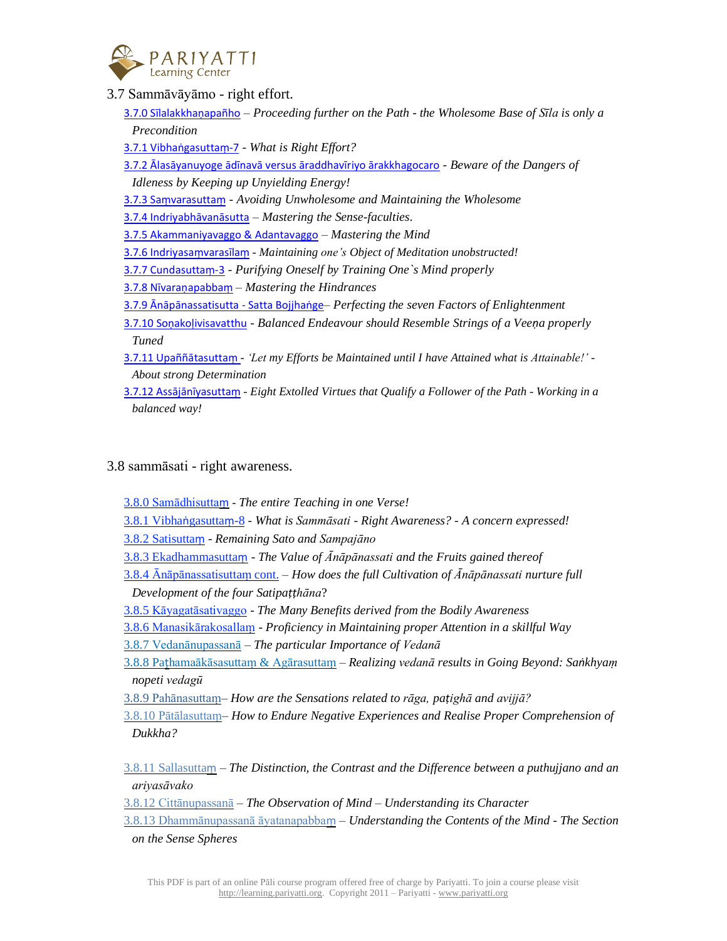

3.7 Sammāvāyāmo - right effort.

3.7.0 [Sīlalakkhaṇ](https://learning.pariyatti.org/course/view.php?id=2#section-120)apañho – *Proceeding further on the Path - the Wholesome Base of Sīla is only a Precondition*

3.7.1 Vibhaṅ[gasutta](https://learning.pariyatti.org/course/view.php?id=2#section-121)ṃ-7 - *What is Right Effort?*

3.7.2 Ālasāyanuyoge ādīnavā versus āraddhavīriyo [ārakkhagocaro](https://learning.pariyatti.org/course/view.php?id=2#section-122) - *Beware of the Dangers of Idleness by Keeping up Unyielding Energy!*

3.7.3 Saṃ[varasutta](https://learning.pariyatti.org/course/view.php?id=2#section-123)ṃ - *Avoiding Unwholesome and Maintaining the Wholesome*

3.7.4 [Indriyabhāvanāsutta](https://learning.pariyatti.org/course/view.php?id=2#section-124) – *Mastering the Sense-faculties*.

3.7.5 [Akammaniyavaggo](https://learning.pariyatti.org/course/view.php?id=2#section-125) & Adantavaggo – *Mastering the Mind*

3.7.6 Indriyasa[ṃvarasīlaṃ](https://learning.pariyatti.org/course/view.php?id=2#section-126) - *Maintaining one's Object of Meditation unobstructed!*

3.7.7 [Cundasutta](https://learning.pariyatti.org/course/view.php?id=2#section-127)ṃ-3 - *Purifying Oneself by Training One`s Mind properly*

3.7.8 Nīvaraṇ[apabba](https://learning.pariyatti.org/course/view.php?id=2#section-128)ṃ – *Mastering the Hindrances*

3.7.9 [Ānāpānassatisutta](https://learning.pariyatti.org/course/view.php?id=2#section-129) - Satta Bojjhaṅge– *Perfecting the seven Factors of Enlightenment*

3.7.10 Soṇakoḷ[ivisavatthu](https://learning.pariyatti.org/course/view.php?id=2#section-130) - *Balanced Endeavour should Resemble Strings of a Veeṇa properly Tuned*

3.7.11 Upaññā[tasutta](https://learning.pariyatti.org/course/view.php?id=2#section-131)ṃ - *'Let my Efforts be Maintained until I have Attained what is Attainable!' - About strong Determination*

3.7.12 Ass[ājānīyasuttaṃ](https://learning.pariyatti.org/course/view.php?id=2#section-132) - *Eight Extolled Virtues that Qualify a Follower of the Path - Working in a balanced way!*

3.8 sammāsati - right awareness.

3.8.0 [Samādhisutta](https://learning.pariyatti.org/course/view.php?id=2#section-133)ṃ - *The entire Teaching in one Verse!*

3.8.1 Vibhaṅ[gasutta](https://learning.pariyatti.org/course/view.php?id=2#section-134)ṃ-8 - *What is Sammāsati - Right Awareness? - A concern expressed!*

3.8.2 [Satisutta](https://learning.pariyatti.org/course/view.php?id=2#section-135)ṃ - *Remaining Sato and Sampajāno*

3.8.3 [Ekadhammasutta](https://learning.pariyatti.org/course/view.php?id=2#section-136)ṃ - *The Value of Ānāpānassati and the Fruits gained thereof*

3.8.4 [Ānāpānassatisuttaṃ](https://learning.pariyatti.org/course/view.php?id=2#section-137) cont. – *How does the full Cultivation of Ānāpānassati nurture full Development of the four Satipaṭṭhāna*?

3.8.5 [Kāyagatāsativaggo](https://learning.pariyatti.org/course/view.php?id=2#section-138) - *The Many Benefits derived from the Bodily Awareness*

3.8.6 [Manasikārakosallaṃ](https://learning.pariyatti.org/course/view.php?id=2#section-139) - *Proficiency in Maintaining proper Attention in a skillful Way*

3.8.7 [Vedanānupassanā](https://learning.pariyatti.org/course/view.php?id=2#section-140) – *The particular Importance of Vedanā*

3.8.8 Paṭ[hamaākāsasuttaṃ](https://learning.pariyatti.org/course/view.php?id=2#section-141) & Agārasuttaṃ – *Realizing vedanā results in Going Beyond: Saṅkhyaṃ nopeti [vedagū](https://learning.pariyatti.org/course/view.php?id=2#section-141)*

3.8.9 [Pahānasuttaṃ–](https://learning.pariyatti.org/course/view.php?id=2#section-142) *How are the Sensations related to rāga, paṭighā and avijjā?*

3.8.10 [Pātālasuttaṃ–](https://learning.pariyatti.org/course/view.php?id=2#section-143) *How to Endure Negative Experiences and Realise Proper Comprehension of Dukkha?*

3.8.11 Sallasuttaṃ *– The [Distinction,](https://learning.pariyatti.org/course/view.php?id=2#section-136) the Contrast and the Difference between a puthujjano and an [ariyasāvako](https://learning.pariyatti.org/course/view.php?id=2#section-136)*

3.8.12 [Cittānupassanā](https://learning.pariyatti.org/course/view.php?id=2#section-144) *– The Observation of Mind – Understanding its Character*

3.8.13 [Dhammānupassanā](https://learning.pariyatti.org/course/view.php?id=2#section-145) āyatanapabbaṃ *– Understanding the Contents of the Mind - The Section on the Sense [Spheres](https://learning.pariyatti.org/course/view.php?id=2#section-145)*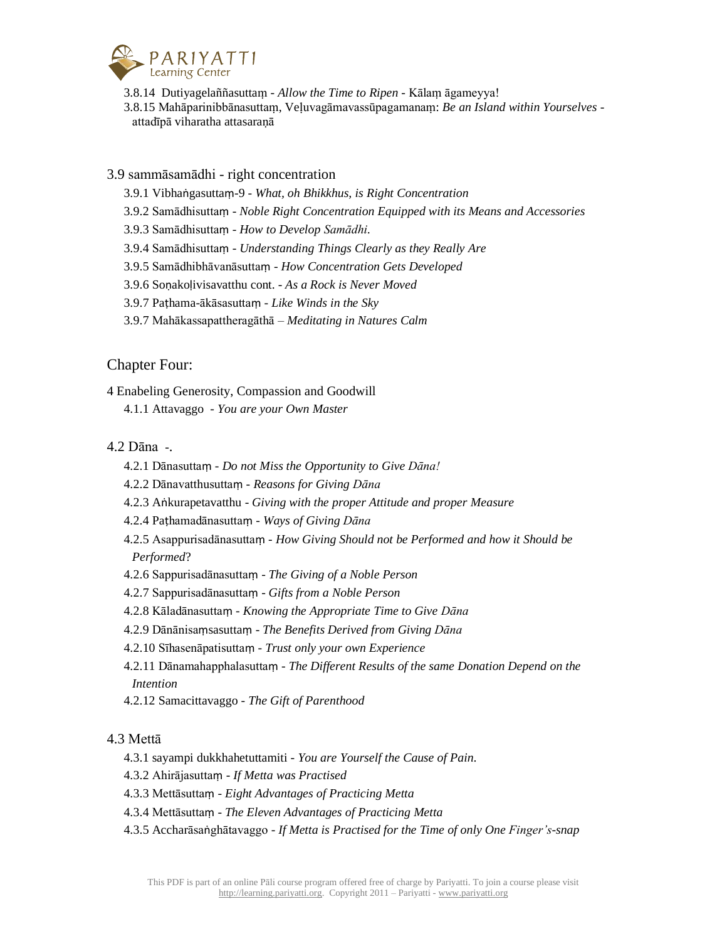

3.8.14 Dutiyagelaññasuttaṃ - *Allow the Time to Ripen* - Kālaṃ āgameyya!

3.8.15 Mahāparinibbānasuttaṃ, Veḷuvagāmavassūpagamanaṃ: *Be an Island within Yourselves*  attadīpā viharatha attasaraṇā

## 3.9 sammāsamādhi - right concentration

- 3.9.1 Vibhaṅgasuttaṃ-9 *What, oh Bhikkhus, is Right Concentration*
- 3.9.2 Samādhisuttaṃ *Noble Right Concentration Equipped with its Means and Accessories*
- 3.9.3 Samādhisuttaṃ *How to Develop Samādhi*.
- 3.9.4 Samādhisuttaṃ *Understanding Things Clearly as they Really Are*
- 3.9.5 Samādhibhāvanāsuttaṃ *How Concentration Gets Developed*
- 3.9.6 Soṇakoḷivisavatthu cont. *As a Rock is Never Moved*
- 3.9.7 Paṭhama-ākāsasuttaṃ *Like Winds in the Sky*
- 3.9.7 Mahākassapattheragāthā *Meditating in Natures Calm*

# Chapter Four:

4 Enabeling Generosity, Compassion and Goodwill

4.1.1 Attavaggo - *You are your Own Master*

# 4.2 Dāna -.

- 4.2.1 Dānasuttaṃ *Do not Miss the Opportunity to Give Dāna!*
- 4.2.2 Dānavatthusuttaṃ *Reasons for Giving Dāna*
- 4.2.3 Aṅkurapetavatthu *Giving with the proper Attitude and proper Measure*
- 4.2.4 Paṭhamadānasuttaṃ *Ways of Giving Dāna*
- 4.2.5 Asappurisadānasuttaṃ *How Giving Should not be Performed and how it Should be Performed*?
- 4.2.6 Sappurisadānasuttaṃ *The Giving of a Noble Person*
- 4.2.7 Sappurisadānasuttaṃ *Gifts from a Noble Person*
- 4.2.8 Kāladānasuttaṃ *Knowing the Appropriate Time to Give Dāna*
- 4.2.9 Dānānisaṃsasuttaṃ *The Benefits Derived from Giving Dāna*
- 4.2.10 Sīhasenāpatisuttaṃ *Trust only your own Experience*
- 4.2.11 Dānamahapphalasuttaṃ *The Different Results of the same Donation Depend on the Intention*
- 4.2.12 Samacittavaggo *The Gift of Parenthood*

## 4.3 Mettā

- 4.3.1 sayampi dukkhahetuttamiti *You are Yourself the Cause of Pain*.
- 4.3.2 Ahirājasuttaṃ *If Metta was Practised*
- 4.3.3 Mettāsuttaṃ *Eight Advantages of Practicing Metta*
- 4.3.4 Mettāsuttaṃ *The Eleven Advantages of Practicing Metta*
- 4.3.5 Accharāsaṅghātavaggo *If Metta is Practised for the Time of only One Finger's-snap*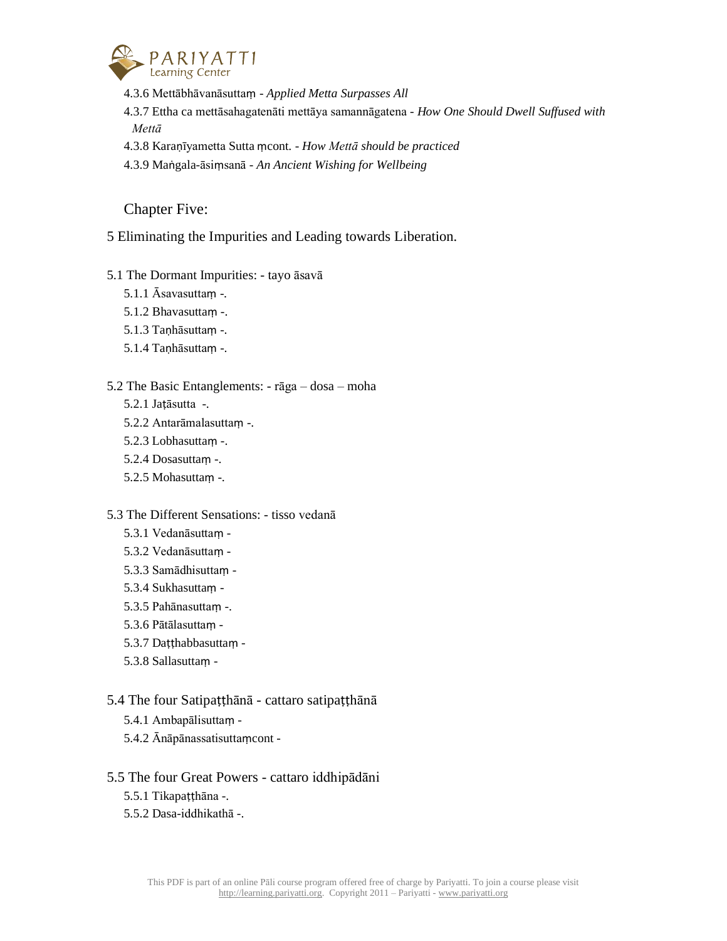

- 4.3.6 Mettābhāvanāsuttaṃ *Applied Metta Surpasses All*
- 4.3.7 Ettha ca mettāsahagatenāti mettāya samannāgatena *How One Should Dwell Suffused with Mettā*
- 4.3.8 Karaṇīyametta Sutta ṃcont. *How Mettā should be practiced*
- 4.3.9 Maṅgala-āsiṃsanā *An Ancient Wishing for Wellbeing*

Chapter Five:

5 Eliminating the Impurities and Leading towards Liberation.

- 5.1 The Dormant Impurities: tayo āsavā
	- 5.1.1 Āsavasuttaṃ -.
	- 5.1.2 Bhavasuttaṃ -.
	- 5.1.3 Taṇhāsuttaṃ -.
	- 5.1.4 Tanhāsuttam -.

#### 5.2 The Basic Entanglements: - rāga – dosa – moha

- 5.2.1 Jaṭāsutta -.
- 5.2.2 Antarāmalasuttaṃ -.
- 5.2.3 Lobhasuttaṃ -.
- 5.2.4 Dosasuttaṃ -.
- 5.2.5 Mohasuttaṃ -.

#### 5.3 The Different Sensations: - tisso vedanā

- 5.3.1 Vedanāsuttaṃ -
- 5.3.2 Vedanāsuttaṃ -
- 5.3.3 Samādhisuttaṃ -
- 5.3.4 Sukhasuttaṃ -
- 5.3.5 Pahānasuttaṃ -.
- 5.3.6 Pātālasuttaṃ -
- 5.3.7 Daṭṭhabbasuttaṃ -
- 5.3.8 Sallasuttaṃ -

## 5.4 The four Satipaṭṭhānā - cattaro satipaṭṭhānā

- 5.4.1 Ambapālisuttaṃ -
- 5.4.2 Ānāpānassatisuttaṃcont -

## 5.5 The four Great Powers - cattaro iddhipādāni

- 5.5.1 Tikapaṭṭhāna -.
- 5.5.2 Dasa-iddhikathā -.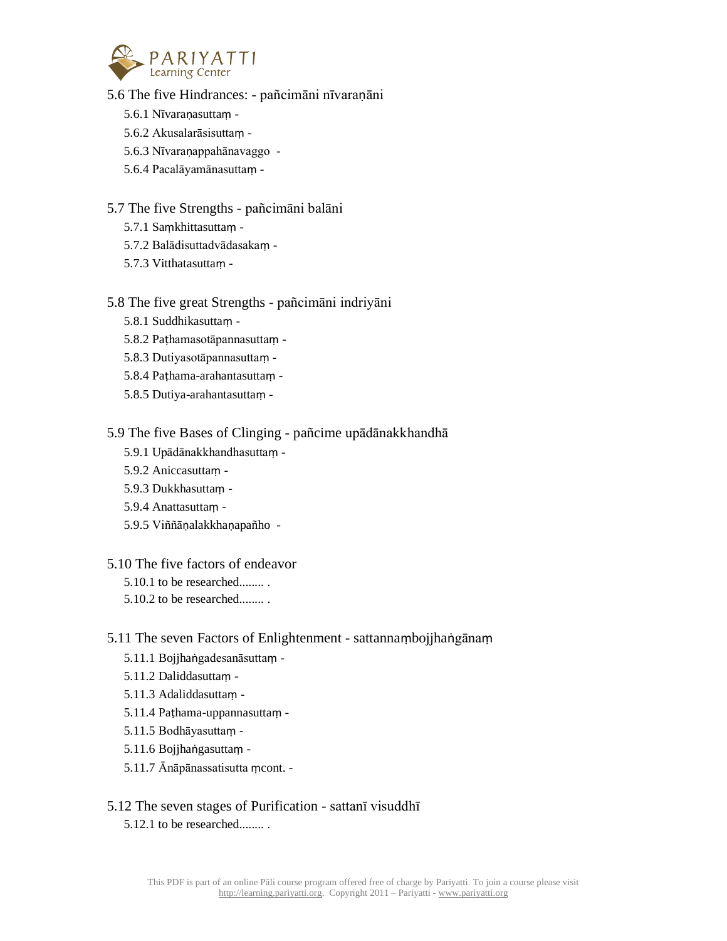

5.6 The five Hindrances: - pañcimāni nīvaraṇāni

- 5.6.1 Nīvaraṇasuttaṃ -
- 5.6.2 Akusalarāsisuttaṃ -
- 5.6.3 Nīvaraṇappahānavaggo -
- 5.6.4 Pacalāyamānasuttaṃ -

## 5.7 The five Strengths - pañcimāni balāni

- 5.7.1 Saṃkhittasuttaṃ -
- 5.7.2 Balādisuttadvādasakaṃ -
- 5.7.3 Vitthatasuttaṃ -

## 5.8 The five great Strengths - pañcimāni indriyāni

- 5.8.1 Suddhikasuttaṃ -
- 5.8.2 Paṭhamasotāpannasuttaṃ -
- 5.8.3 Dutiyasotāpannasuttaṃ -
- 5.8.4 Paṭhama-arahantasuttaṃ -
- 5.8.5 Dutiya-arahantasuttaṃ -

## 5.9 The five Bases of Clinging - pañcime upādānakkhandhā

- 5.9.1 Upādānakkhandhasuttaṃ -
- 5.9.2 Aniccasuttaṃ -
- 5.9.3 Dukkhasuttaṃ -
- 5.9.4 Anattasuttaṃ -
- 5.9.5 Viññāṇalakkhaṇapañho -

## 5.10 The five factors of endeavor

- 5.10.1 to be researched........ .
- 5.10.2 to be researched........ .

# 5.11 The seven Factors of Enlightenment - sattannaṃbojjhaṅgānaṃ

- 5.11.1 Bojjhaṅgadesanāsuttaṃ -
- 5.11.2 Daliddasuttaṃ -
- 5.11.3 Adaliddasuttaṃ -
- 5.11.4 Paṭhama-uppannasuttaṃ -
- 5.11.5 Bodhāyasuttaṃ -
- 5.11.6 Bojjhaṅgasuttaṃ -
- 5.11.7 Ānāpānassatisutta ṃcont. -

# 5.12 The seven stages of Purification - sattanī visuddhī

5.12.1 to be researched........ .